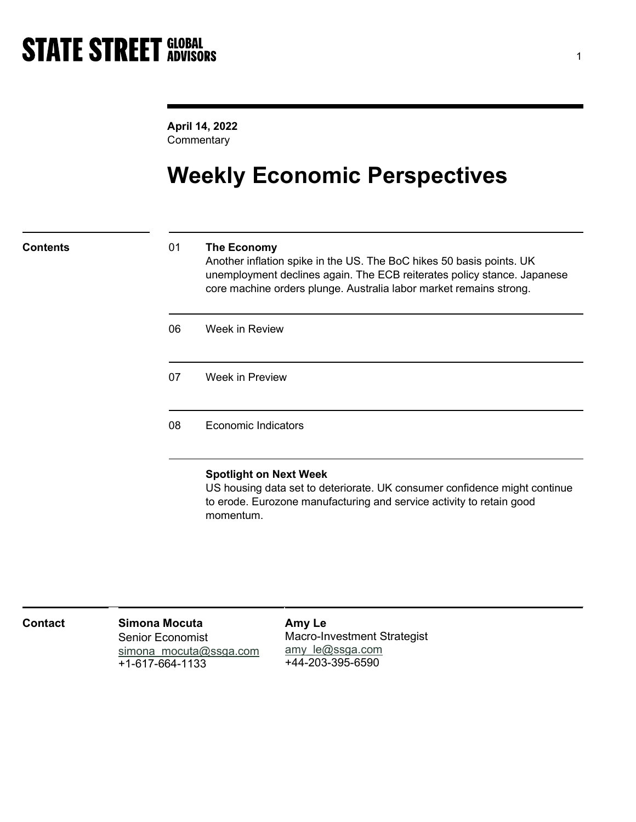April 14, 2022 **Commentary** 

# Weekly Economic Perspectives

## Contents 01 The Economy

Another inflation spike in the US. The BoC hikes 50 basis points. UK unemployment declines again. The ECB reiterates policy stance. Japanese core machine orders plunge. Australia labor market remains strong.

06 Week in Review

07 Week in Preview

08 Economic Indicators

## Spotlight on Next Week

US housing data set to deteriorate. UK consumer confidence might continue to erode. Eurozone manufacturing and service activity to retain good momentum.

| Contact | Simona Mocuta           | Amy L    |
|---------|-------------------------|----------|
|         | <b>Senior Economist</b> | Macro    |
|         | simona mocuta@ssga.com  | $amy$ l  |
|         | $+1 - 617 - 664 - 1133$ | $+44-20$ |

Amy Le -Investment Strategist <u>e@ssga.com</u> 03-395-6590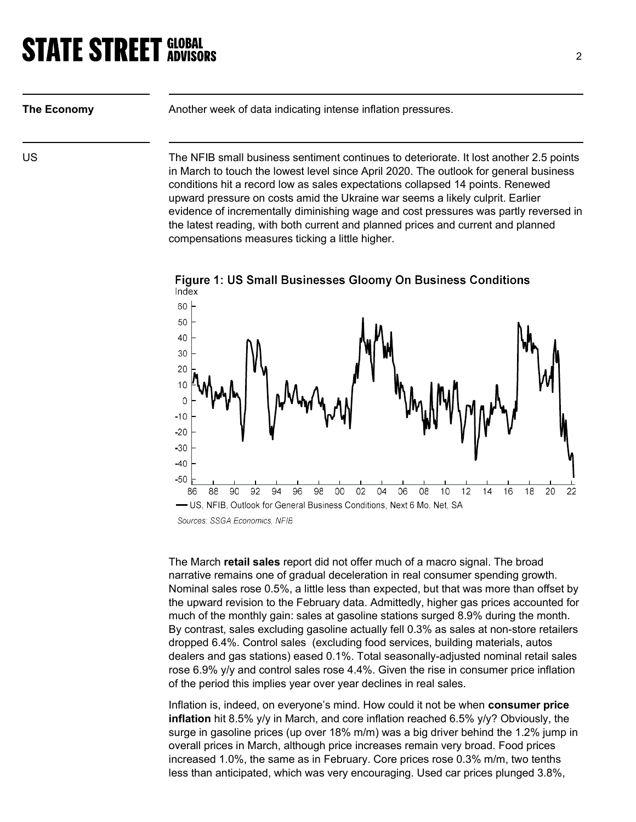The Economy Another week of data indicating intense inflation pressures.

US The NFIB small business sentiment continues to deteriorate. It lost another 2.5 points in March to touch the lowest level since April 2020. The outlook for general business conditions hit a record low as sales expectations collapsed 14 points. Renewed upward pressure on costs amid the Ukraine war seems a likely culprit. Earlier evidence of incrementally diminishing wage and cost pressures was partly reversed in the latest reading, with both current and planned prices and current and planned compensations measures ticking a little higher.



Figure 1: US Small Businesses Gloomy On Business Conditions

The March **retail sales** report did not offer much of a macro signal. The broad narrative remains one of gradual deceleration in real consumer spending growth. Nominal sales rose 0.5%, a little less than expected, but that was more than offset by the upward revision to the February data. Admittedly, higher gas prices accounted for much of the monthly gain: sales at gasoline stations surged 8.9% during the month. By contrast, sales excluding gasoline actually fell 0.3% as sales at non-store retailers dropped 6.4%. Control sales (excluding food services, building materials, autos dealers and gas stations) eased 0.1%. Total seasonally-adjusted nominal retail sales rose 6.9% y/y and control sales rose 4.4%. Given the rise in consumer price inflation of the period this implies year over year declines in real sales.

Inflation is, indeed, on everyone's mind. How could it not be when consumer price **inflation** hit 8.5%  $y/y$  in March, and core inflation reached 6.5%  $y/y$ ? Obviously, the surge in gasoline prices (up over 18% m/m) was a big driver behind the 1.2% jump in overall prices in March, although price increases remain very broad. Food prices increased 1.0%, the same as in February. Core prices rose 0.3% m/m, two tenths less than anticipated, which was very encouraging. Used car prices plunged 3.8%,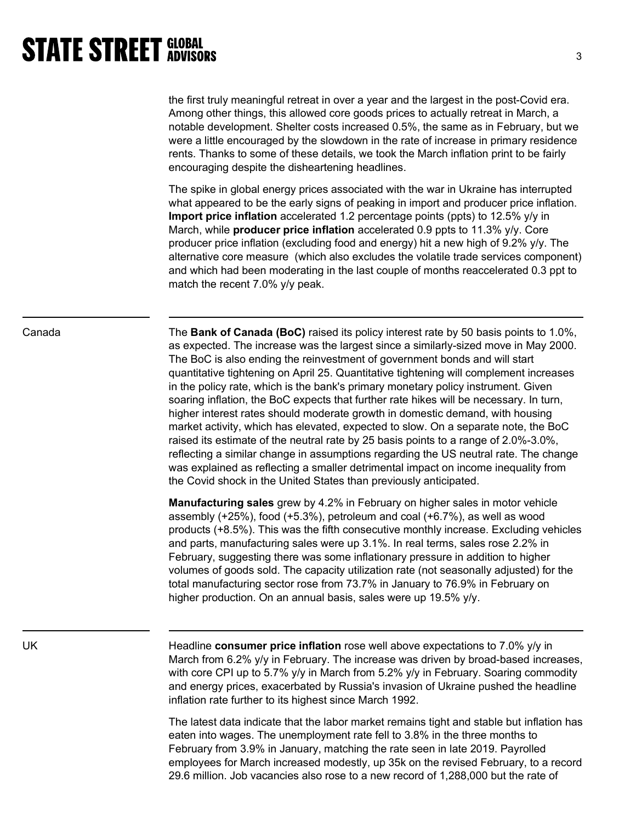the first truly meaningful retreat in over a year and the largest in the post-Covid era. Among other things, this allowed core goods prices to actually retreat in March, a notable development. Shelter costs increased 0.5%, the same as in February, but we were a little encouraged by the slowdown in the rate of increase in primary residence rents. Thanks to some of these details, we took the March inflation print to be fairly encouraging despite the disheartening headlines.

The spike in global energy prices associated with the war in Ukraine has interrupted what appeared to be the early signs of peaking in import and producer price inflation. Import price inflation accelerated 1.2 percentage points (ppts) to 12.5% y/y in March, while **producer price inflation** accelerated 0.9 ppts to 11.3%  $y/y$ . Core producer price inflation (excluding food and energy) hit a new high of 9.2% y/y. The alternative core measure (which also excludes the volatile trade services component) and which had been moderating in the last couple of months reaccelerated 0.3 ppt to match the recent 7.0% y/y peak.

Canada The Bank of Canada (BoC) raised its policy interest rate by 50 basis points to 1.0%, as expected. The increase was the largest since a similarly-sized move in May 2000. The BoC is also ending the reinvestment of government bonds and will start quantitative tightening on April 25. Quantitative tightening will complement increases in the policy rate, which is the bank's primary monetary policy instrument. Given soaring inflation, the BoC expects that further rate hikes will be necessary. In turn, higher interest rates should moderate growth in domestic demand, with housing market activity, which has elevated, expected to slow. On a separate note, the BoC raised its estimate of the neutral rate by 25 basis points to a range of 2.0%-3.0%, reflecting a similar change in assumptions regarding the US neutral rate. The change was explained as reflecting a smaller detrimental impact on income inequality from the Covid shock in the United States than previously anticipated.

> Manufacturing sales grew by 4.2% in February on higher sales in motor vehicle assembly (+25%), food (+5.3%), petroleum and coal (+6.7%), as well as wood products (+8.5%). This was the fifth consecutive monthly increase. Excluding vehicles and parts, manufacturing sales were up 3.1%. In real terms, sales rose 2.2% in February, suggesting there was some inflationary pressure in addition to higher volumes of goods sold. The capacity utilization rate (not seasonally adjusted) for the total manufacturing sector rose from 73.7% in January to 76.9% in February on higher production. On an annual basis, sales were up 19.5% y/y.

UK **EXALL HEADLINE CONSUMER price inflation** rose well above expectations to 7.0% y/y in March from 6.2% y/y in February. The increase was driven by broad-based increases, with core CPI up to 5.7% y/y in March from 5.2% y/y in February. Soaring commodity and energy prices, exacerbated by Russia's invasion of Ukraine pushed the headline inflation rate further to its highest since March 1992.

> The latest data indicate that the labor market remains tight and stable but inflation has eaten into wages. The unemployment rate fell to 3.8% in the three months to February from 3.9% in January, matching the rate seen in late 2019. Payrolled employees for March increased modestly, up 35k on the revised February, to a record 29.6 million. Job vacancies also rose to a new record of 1,288,000 but the rate of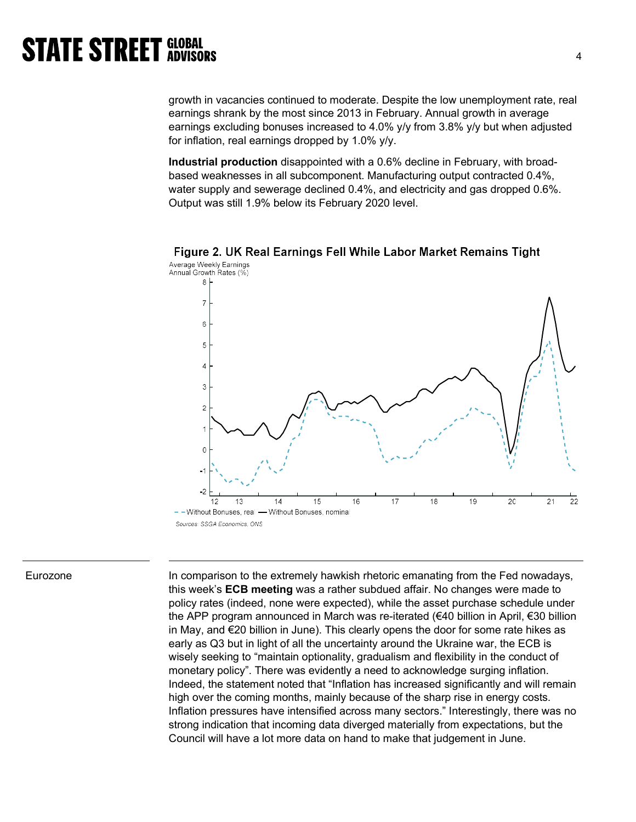growth in vacancies continued to moderate. Despite the low unemployment rate, real earnings shrank by the most since 2013 in February. Annual growth in average earnings excluding bonuses increased to 4.0% y/y from 3.8% y/y but when adjusted for inflation, real earnings dropped by 1.0% y/y.

Industrial production disappointed with a 0.6% decline in February, with broadbased weaknesses in all subcomponent. Manufacturing output contracted 0.4%, water supply and sewerage declined 0.4%, and electricity and gas dropped 0.6%. Output was still 1.9% below its February 2020 level.



Figure 2. UK Real Earnings Fell While Labor Market Remains Tight Average Weekly Earnings

Eurozone **In comparison to the extremely hawkish rhetoric emanating from the Fed nowadays,** this week's ECB meeting was a rather subdued affair. No changes were made to policy rates (indeed, none were expected), while the asset purchase schedule under the APP program announced in March was re-iterated (€40 billion in April, €30 billion in May, and €20 billion in June). This clearly opens the door for some rate hikes as early as Q3 but in light of all the uncertainty around the Ukraine war, the ECB is wisely seeking to "maintain optionality, gradualism and flexibility in the conduct of monetary policy". There was evidently a need to acknowledge surging inflation. Indeed, the statement noted that "Inflation has increased significantly and will remain high over the coming months, mainly because of the sharp rise in energy costs. Inflation pressures have intensified across many sectors." Interestingly, there was no strong indication that incoming data diverged materially from expectations, but the Council will have a lot more data on hand to make that judgement in June.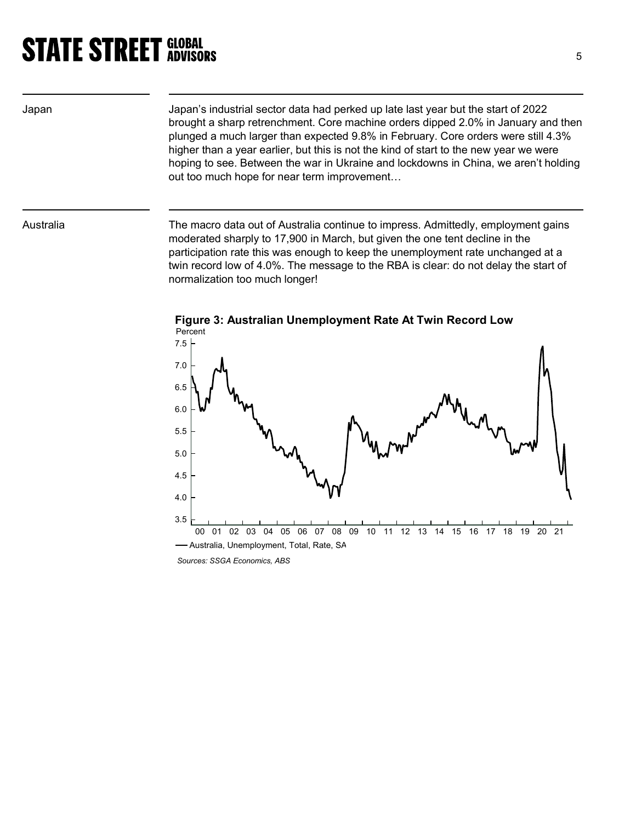Japan Japan's industrial sector data had perked up late last year but the start of 2022 brought a sharp retrenchment. Core machine orders dipped 2.0% in January and then plunged a much larger than expected 9.8% in February. Core orders were still 4.3% higher than a year earlier, but this is not the kind of start to the new year we were hoping to see. Between the war in Ukraine and lockdowns in China, we aren't holding out too much hope for near term improvement…

Australia The macro data out of Australia continue to impress. Admittedly, employment gains moderated sharply to 17,900 in March, but given the one tent decline in the participation rate this was enough to keep the unemployment rate unchanged at a twin record low of 4.0%. The message to the RBA is clear: do not delay the start of normalization too much longer!



Figure 3: Australian Unemployment Rate At Twin Record Low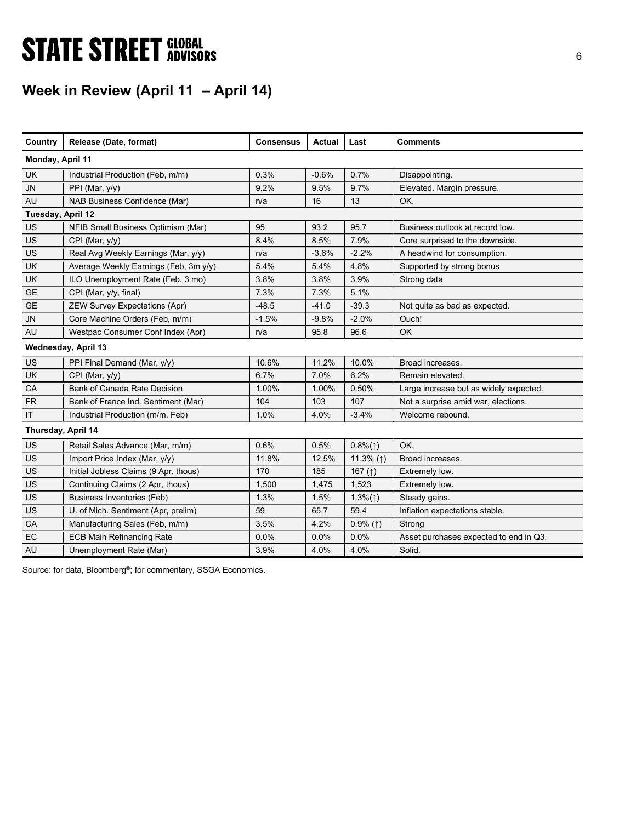# **STATE STREET GLOBAL STATE STREET GLOBAL**

## Week in Review (April 11 – April 14)

| Country            | Release (Date, format)                | <b>Consensus</b> | <b>Actual</b> | Last              | <b>Comments</b>                        |
|--------------------|---------------------------------------|------------------|---------------|-------------------|----------------------------------------|
| Monday, April 11   |                                       |                  |               |                   |                                        |
| <b>UK</b>          | Industrial Production (Feb, m/m)      | 0.3%             | $-0.6%$       | 0.7%              | Disappointing.                         |
| <b>JN</b>          | PPI (Mar, $y/y$ )                     | 9.2%             | 9.5%          | 9.7%              | Elevated. Margin pressure.             |
| AU                 | NAB Business Confidence (Mar)         | n/a              | 16            | 13                | OK.                                    |
| Tuesday, April 12  |                                       |                  |               |                   |                                        |
| US                 | NFIB Small Business Optimism (Mar)    | 95               | 93.2          | 95.7              | Business outlook at record low.        |
| US                 | CPI (Mar, y/y)                        | 8.4%             | 8.5%          | 7.9%              | Core surprised to the downside.        |
| US                 | Real Avg Weekly Earnings (Mar, y/y)   | n/a              | $-3.6%$       | $-2.2%$           | A headwind for consumption.            |
| UK                 | Average Weekly Earnings (Feb, 3m y/y) | 5.4%             | 5.4%          | 4.8%              | Supported by strong bonus              |
| UK                 | ILO Unemployment Rate (Feb, 3 mo)     | 3.8%             | 3.8%          | 3.9%              | Strong data                            |
| <b>GE</b>          | CPI (Mar, y/y, final)                 | 7.3%             | 7.3%          | 5.1%              |                                        |
| <b>GE</b>          | <b>ZEW Survey Expectations (Apr)</b>  | $-48.5$          | $-41.0$       | $-39.3$           | Not quite as bad as expected.          |
| <b>JN</b>          | Core Machine Orders (Feb, m/m)        | $-1.5%$          | $-9.8%$       | $-2.0%$           | Ouch!                                  |
| AU                 | Westpac Consumer Conf Index (Apr)     | n/a              | 95.8          | 96.6              | <b>OK</b>                              |
|                    | Wednesday, April 13                   |                  |               |                   |                                        |
| US                 | PPI Final Demand (Mar, y/y)           | 10.6%            | 11.2%         | 10.0%             | Broad increases.                       |
| <b>UK</b>          | CPI (Mar, y/y)                        | 6.7%             | 7.0%          | 6.2%              | Remain elevated.                       |
| CA                 | Bank of Canada Rate Decision          | 1.00%            | 1.00%         | 0.50%             | Large increase but as widely expected. |
| <b>FR</b>          | Bank of France Ind. Sentiment (Mar)   | 104              | 103           | 107               | Not a surprise amid war, elections.    |
| IT                 | Industrial Production (m/m, Feb)      | 1.0%             | 4.0%          | $-3.4%$           | Welcome rebound.                       |
| Thursday, April 14 |                                       |                  |               |                   |                                        |
| US                 | Retail Sales Advance (Mar, m/m)       | 0.6%             | 0.5%          | $0.8\%(\uparrow)$ | OK.                                    |
| US                 | Import Price Index (Mar, y/y)         | 11.8%            | 12.5%         | 11.3% (1)         | Broad increases.                       |
| US                 | Initial Jobless Claims (9 Apr, thous) | 170              | 185           | 167 $($ 1)        | Extremely low.                         |
| US                 | Continuing Claims (2 Apr, thous)      | 1,500            | 1,475         | 1,523             | Extremely low.                         |
| US                 | <b>Business Inventories (Feb)</b>     | 1.3%             | 1.5%          | $1.3\%(\uparrow)$ | Steady gains.                          |
| US                 | U. of Mich. Sentiment (Apr, prelim)   | 59               | 65.7          | 59.4              | Inflation expectations stable.         |
| CA                 | Manufacturing Sales (Feb, m/m)        | 3.5%             | 4.2%          | $0.9\%$ (1)       | Strong                                 |
| EC                 | <b>ECB Main Refinancing Rate</b>      | 0.0%             | 0.0%          | 0.0%              | Asset purchases expected to end in Q3. |
| <b>AU</b>          | Unemployment Rate (Mar)               | 3.9%             | 4.0%          | 4.0%              | Solid.                                 |

Source: for data, Bloomberg<sup>®</sup>; for commentary, SSGA Economics.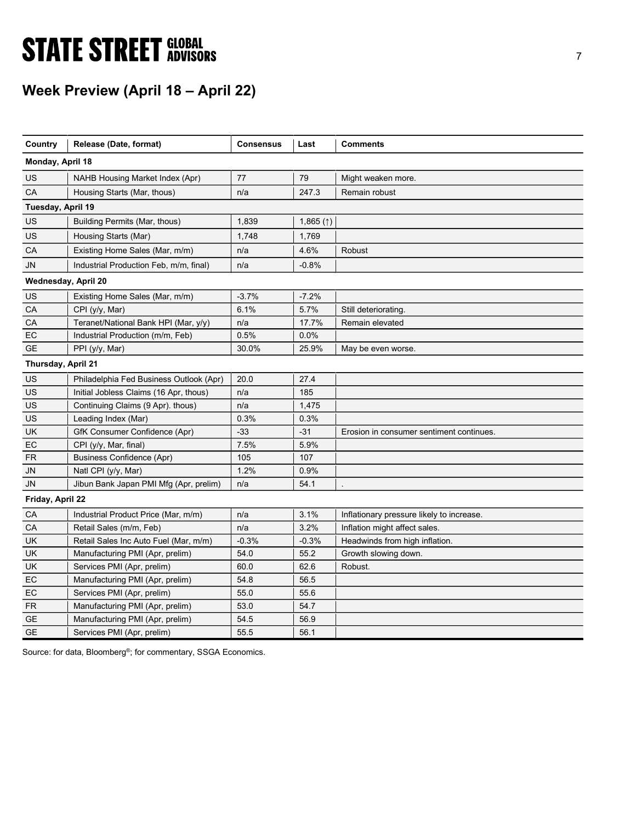# **STATE STREET GLOBAL STATE STREET GLOBAL**

# Week Preview (April 18 – April 22)

| Country             | Release (Date, format)                  | <b>Consensus</b> | Last                   | <b>Comments</b>                           |
|---------------------|-----------------------------------------|------------------|------------------------|-------------------------------------------|
| Monday, April 18    |                                         |                  |                        |                                           |
| US                  | NAHB Housing Market Index (Apr)         | 77               | 79                     | Might weaken more.                        |
| CA                  | Housing Starts (Mar, thous)             | n/a              | 247.3                  | Remain robust                             |
| Tuesday, April 19   |                                         |                  |                        |                                           |
| US                  | Building Permits (Mar, thous)           | 1,839            | 1,865 $($ $\uparrow$ ) |                                           |
| US                  | Housing Starts (Mar)                    | 1,748            | 1,769                  |                                           |
| CA                  | Existing Home Sales (Mar, m/m)          | n/a              | 4.6%                   | Robust                                    |
| JN                  | Industrial Production Feb, m/m, final)  | n/a              | $-0.8%$                |                                           |
| Wednesday, April 20 |                                         |                  |                        |                                           |
| US                  | Existing Home Sales (Mar, m/m)          | $-3.7%$          | $-7.2%$                |                                           |
| CA                  | CPI (y/y, Mar)                          | 6.1%             | 5.7%                   | Still deteriorating.                      |
| CA                  | Teranet/National Bank HPI (Mar, y/y)    | n/a              | 17.7%                  | Remain elevated                           |
| EC                  | Industrial Production (m/m, Feb)        | 0.5%             | 0.0%                   |                                           |
| <b>GE</b>           | PPI (y/y, Mar)                          | 30.0%            | 25.9%                  | May be even worse.                        |
| Thursday, April 21  |                                         |                  |                        |                                           |
| US                  | Philadelphia Fed Business Outlook (Apr) | 20.0             | 27.4                   |                                           |
| US                  | Initial Jobless Claims (16 Apr, thous)  | n/a              | 185                    |                                           |
| US                  | Continuing Claims (9 Apr). thous)       | n/a              | 1,475                  |                                           |
| US                  | Leading Index (Mar)                     | 0.3%             | 0.3%                   |                                           |
| UK                  | GfK Consumer Confidence (Apr)           | $-33$            | $-31$                  | Erosion in consumer sentiment continues.  |
| EC                  | CPI (y/y, Mar, final)                   | 7.5%             | 5.9%                   |                                           |
| <b>FR</b>           | <b>Business Confidence (Apr)</b>        | 105              | 107                    |                                           |
| JN                  | Natl CPI $(y/y, Mar)$                   | 1.2%             | 0.9%                   |                                           |
| JN                  | Jibun Bank Japan PMI Mfg (Apr, prelim)  | n/a              | 54.1                   |                                           |
| Friday, April 22    |                                         |                  |                        |                                           |
| CA                  | Industrial Product Price (Mar, m/m)     | n/a              | 3.1%                   | Inflationary pressure likely to increase. |
| CA                  | Retail Sales (m/m, Feb)                 | n/a              | 3.2%                   | Inflation might affect sales.             |
| UK                  | Retail Sales Inc Auto Fuel (Mar, m/m)   | $-0.3%$          | $-0.3%$                | Headwinds from high inflation.            |
| <b>UK</b>           | Manufacturing PMI (Apr, prelim)         | 54.0             | 55.2                   | Growth slowing down.                      |
| <b>UK</b>           | Services PMI (Apr, prelim)              | 60.0             | 62.6                   | Robust.                                   |
| EC                  | Manufacturing PMI (Apr, prelim)         | 54.8             | 56.5                   |                                           |
| EC                  | Services PMI (Apr, prelim)              | 55.0             | 55.6                   |                                           |
| <b>FR</b>           | Manufacturing PMI (Apr, prelim)         | 53.0             | 54.7                   |                                           |
| <b>GE</b>           | Manufacturing PMI (Apr, prelim)         | 54.5             | 56.9                   |                                           |
| <b>GE</b>           | Services PMI (Apr, prelim)              | 55.5             | 56.1                   |                                           |

Source: for data, Bloomberg<sup>®</sup>; for commentary, SSGA Economics.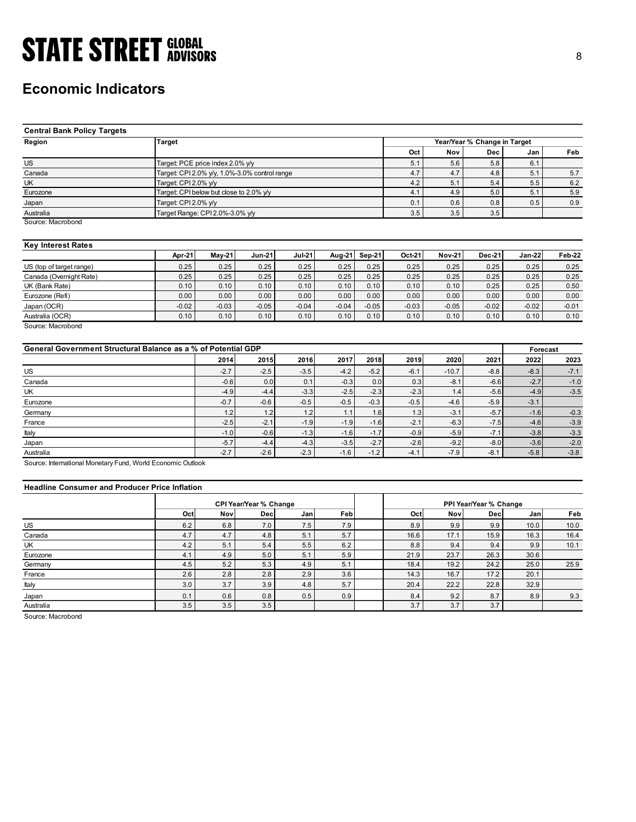## Economic Indicators

| <b>STATE STREET GLOBAL</b>                                    |                                                                       |          |               |               |               |         |            |               |                              |            |            |
|---------------------------------------------------------------|-----------------------------------------------------------------------|----------|---------------|---------------|---------------|---------|------------|---------------|------------------------------|------------|------------|
|                                                               |                                                                       |          |               |               |               |         |            |               |                              |            | 8          |
|                                                               |                                                                       |          |               |               |               |         |            |               |                              |            |            |
|                                                               |                                                                       |          |               |               |               |         |            |               |                              |            |            |
|                                                               |                                                                       |          |               |               |               |         |            |               |                              |            |            |
| <b>Economic Indicators</b>                                    |                                                                       |          |               |               |               |         |            |               |                              |            |            |
|                                                               |                                                                       |          |               |               |               |         |            |               |                              |            |            |
|                                                               |                                                                       |          |               |               |               |         |            |               |                              |            |            |
| <b>Central Bank Policy Targets</b>                            |                                                                       |          |               |               |               |         |            |               |                              |            |            |
| Region                                                        |                                                                       |          |               |               |               |         |            |               | Year/Year % Change in Target |            |            |
|                                                               | <b>Target</b>                                                         |          |               |               |               |         | Oct        | Nov           | Dec                          | Jan        | Feb        |
|                                                               |                                                                       |          |               |               |               |         |            |               |                              |            |            |
| <b>US</b><br>Canada                                           | Target: PCE price index 2.0% y/y                                      |          |               |               |               |         | 5.1        | 5.6           | 5.8                          | 6.1        |            |
| UK                                                            | Target: CPI 2.0% y/y, 1.0%-3.0% control range<br>Target: CPI 2.0% y/y |          |               |               |               |         | 4.7<br>4.2 | 4.7<br>5.1    | 4.8<br>5.4                   | 5.1<br>5.5 | 5.7<br>6.2 |
| Eurozone                                                      | Target: CPI below but close to 2.0% y/y                               |          |               |               |               |         | 4.1        | 4.9           | 5.0                          | 5.1        | 5.9        |
| Japan                                                         | Target: CPI2.0% y/y                                                   |          |               |               |               |         | 0.1        | 0.6           | 0.8                          | 0.5        | 0.9        |
| Australia                                                     | Target Range: CPI2.0%-3.0% y/y                                        |          |               |               |               |         | 3.5        | 3.5           | 3.5                          |            |            |
| Source: Macrobond                                             |                                                                       |          |               |               |               |         |            |               |                              |            |            |
|                                                               |                                                                       |          |               |               |               |         |            |               |                              |            |            |
| <b>Key Interest Rates</b>                                     |                                                                       |          |               |               |               |         |            |               |                              |            |            |
|                                                               | Apr-21                                                                | $May-21$ | <b>Jun-21</b> | <b>Jul-21</b> | <b>Aug-21</b> | Sep-21  | Oct-21     | <b>Nov-21</b> | Dec-21                       | Jan-22     | Feb-22     |
| US (top of target range)                                      | 0.25                                                                  | 0.25     | 0.25          | 0.25          | 0.25          | 0.25    | 0.25       | 0.25          | 0.25                         | 0.25       | 0.25       |
| Canada (Overnight Rate)                                       | 0.25                                                                  | 0.25     | 0.25          | 0.25          | 0.25          | 0.25    | 0.25       | 0.25          | 0.25                         | 0.25       | 0.25       |
| $\overline{UK}$ (Bank Rate)                                   | 0.10                                                                  | 0.10     | 0.10          | 0.10          | 0.10          | 0.10    | 0.10       | 0.10          | 0.25                         | 0.25       | 0.50       |
| Eurozone (Refi)                                               | 0.00                                                                  | 0.00     | 0.00          | 0.00          | 0.00          | 0.00    | 0.00       | 0.00          | 0.00                         | 0.00       | 0.00       |
| Japan (OCR)                                                   | $-0.02$                                                               | $-0.03$  | $-0.05$       | $-0.04$       | $-0.04$       | $-0.05$ | $-0.03$    | $-0.05$       | $-0.02$                      | $-0.02$    | $-0.01$    |
| Australia (OCR)                                               | 0.10                                                                  | 0.10     | 0.10          | 0.10          | 0.10          | 0.10    | 0.10       | 0.10          | 0.10                         | 0.10       | 0.10       |
| Source: Macrobond                                             |                                                                       |          |               |               |               |         |            |               |                              |            |            |
|                                                               |                                                                       |          |               |               |               |         |            |               |                              |            |            |
| General Government Structural Balance as a % of Potential GDP |                                                                       |          |               |               |               |         |            |               |                              | Forecast   |            |
|                                                               |                                                                       | 2014     | 2015          | 2016          | 2017          | 2018    | 2019       | 2020          | 2021                         | 2022       | 2023       |
| US                                                            |                                                                       | $-2.7$   | $-2.5$        | $-3.5$        | $-4.2$        | $-5.2$  | $-6.1$     | $-10.7$       | $-8.8$                       | $-8.3$     | $-7.1$     |
| Canada                                                        |                                                                       | $-0.6$   | 0.0           | 0.1           | $-0.3$        | $0.0\,$ | 0.3        | $-8.1$        | $-6.6$                       | $-2.7$     | $-1.0$     |
| UK                                                            |                                                                       | $-4.9$   | $-4.4$        | $-3.3$        | $-2.5$        | $-2.3$  | $-2.3$     | 1.4           | $-5.6$                       | $-4.9$     | $-3.5$     |
| Eurozone                                                      |                                                                       | $-0.7$   | $-0.6$        | $-0.5$        | $-0.5$        | $-0.3$  | $-0.5$     | $-4.6$        | $-5.9$                       | $-3.1$     |            |
| Germany                                                       |                                                                       | 1.2      | 1.2           | 1.2           | 1.1           | 1.6     | 1.3        | $-3.1$        | $-5.7$                       | $-1.6$     | $-0.3$     |
| France                                                        |                                                                       | $-2.5$   | $-2.1$        | $-1.9$        | $-1.9$        | $-1.6$  | $-2.1$     | $-6.3$        | $-7.5$                       | $-4.6$     | $-3.9$     |
|                                                               |                                                                       |          |               |               |               |         |            |               |                              |            |            |
| Italy                                                         |                                                                       | $-1.0$   | $-0.6$        | $-1.3$        | $-1.6$        | $-1.7$  | $-0.9$     | $-5.9$        | $-7.1$                       | $-3.8$     | $-3.3$     |

## Key Interest Rates

|                          | Apr-21  | <b>Mav-21</b> | <b>Jun-21</b> | <b>Jul-21</b> | Aug-21  | Sep-21  | Oct-21  | <b>Nov-21</b> | <b>Dec-21</b> | <b>Jan-22</b> | Feb-22  |
|--------------------------|---------|---------------|---------------|---------------|---------|---------|---------|---------------|---------------|---------------|---------|
| US (top of target range) | 0.25    | 0.25          | 0.25          | 0.25          | 0.25    | 0.25    | 0.25    | 0.25          | 0.25          | 0.25          | 0.25    |
| Canada (Overnight Rate)  | 0.25    | 0.25          | 0.25          | 0.25          | 0.25    | 0.25    | 0.25    | 0.25          | 0.25          | 0.25          | 0.25    |
| UK (Bank Rate)           | 0.10    | 0.10          | 0.10          | 0.10          | 0.10    | 0.10    | 0.10    | 0.10          | 0.25          | 0.25          | 0.50    |
| Eurozone (Refi)          | 0.00    | 0.00          | 0.00          | 0.00          | 0.00.   | 0.00    | 0.00    | 0.00          | 0.00          | 0.00          | 0.00    |
| Japan (OCR)              | $-0.02$ | $-0.03$       | $-0.05$       | $-0.04$       | $-0.04$ | $-0.05$ | $-0.03$ | $-0.05$       | $-0.02$       | $-0.02$       | $-0.01$ |
| Australia (OCR)          | 0.10    | 0.10          | 0.10          | 0.10          | 0.10    | 0.10    | 0.10    | 0.10          | 0.10          | 0.10          | 0.10    |

| <b>Central Bank Policy Targets</b>                            |                     |                                               |                               |                  |                  |                  |         |               |                              |                  |          |
|---------------------------------------------------------------|---------------------|-----------------------------------------------|-------------------------------|------------------|------------------|------------------|---------|---------------|------------------------------|------------------|----------|
| Region                                                        | <b>Target</b>       |                                               |                               |                  |                  |                  |         |               | Year/Year % Change in Target |                  |          |
|                                                               |                     |                                               |                               |                  |                  |                  | Oct     | Nov           | Dec                          | Jan              | Feb      |
| <b>US</b>                                                     |                     | Target: PCE price index 2.0% y/y              |                               |                  |                  |                  | 5.1     | 5.6           | 5.8                          | 6.1              |          |
| Canada                                                        |                     | Target: CPI 2.0% y/y, 1.0%-3.0% control range |                               |                  |                  |                  | 4.7     | 4.7           | 4.8                          | 5.1              | 5.7      |
| <b>UK</b>                                                     | Target: CPI2.0% y/y |                                               |                               |                  |                  |                  | $4.2\,$ | 5.1           | 5.4                          | 5.5              | 6.2      |
| Eurozone                                                      |                     | Target: CPI below but close to 2.0% y/y       |                               |                  |                  |                  | 4.1     | 4.9           | 5.0                          | 5.1              | 5.9      |
| Japan                                                         | Target: CPI2.0% y/y |                                               |                               |                  |                  |                  | 0.1     | 0.6           | 0.8                          | 0.5              | 0.9      |
| Australia                                                     |                     | Target Range: CPI 2.0%-3.0% y/y               |                               |                  |                  |                  | 3.5     | 3.5           | 3.5                          |                  |          |
| Source: Macrobond                                             |                     |                                               |                               |                  |                  |                  |         |               |                              |                  |          |
| <b>Key Interest Rates</b>                                     |                     |                                               |                               |                  |                  |                  |         |               |                              |                  |          |
|                                                               | Apr-21              | $May-21$                                      | <b>Jun-21</b>                 | <b>Jul-21</b>    | Aug-21           | Sep-21           | Oct-21  | <b>Nov-21</b> | <b>Dec-21</b>                | <b>Jan-22</b>    | Feb-22   |
| US (top of target range)                                      | 0.25                | 0.25                                          | 0.25                          | 0.25             | 0.25             | 0.25             | 0.25    | 0.25          | 0.25                         | 0.25             | 0.25     |
| Canada (Overnight Rate)                                       | 0.25                | 0.25                                          | 0.25                          | 0.25             | 0.25             | 0.25             | 0.25    | 0.25          | 0.25                         | 0.25             | 0.25     |
| UK (Bank Rate)                                                | 0.10                | 0.10                                          | 0.10                          | 0.10             | 0.10             | 0.10             | 0.10    | 0.10          | 0.25                         | 0.25             | $0.50\,$ |
| Eurozone (Refi)                                               | 0.00                | 0.00                                          | 0.00                          | 0.00             | 0.00             | 0.00             | 0.00    | 0.00          | 0.00                         | 0.00             | 0.00     |
| Japan (OCR)                                                   | $-0.02$             | $-0.03$                                       | $-0.05$                       | $-0.04$          | $-0.04$          | $-0.05$          | $-0.03$ | $-0.05$       | $-0.02$                      | $-0.02$          | $-0.01$  |
| Australia (OCR)                                               | 0.10                | 0.10                                          | 0.10                          | 0.10             | 0.10             | 0.10             | 0.10    | 0.10          | 0.10                         | 0.10             | 0.10     |
| Source: Macrobond                                             |                     |                                               |                               |                  |                  |                  |         |               |                              |                  |          |
| General Government Structural Balance as a % of Potential GDP |                     |                                               |                               |                  |                  |                  |         |               |                              | Forecast         |          |
|                                                               |                     | 2014                                          | 2015                          | 2016             | 2017             | 2018             | 2019    | 2020          | 2021                         | 2022             | 2023     |
| <b>US</b>                                                     |                     | $-2.7$                                        | $-2.5$                        | $-3.5$           | $-4.2$           | $-5.2$           | $-6.1$  | $-10.7$       | $-8.8$                       | $-8.3$           | $-7.1$   |
| Canada                                                        |                     | $-0.6$                                        | 0.0                           | 0.1              | $-0.3$           | 0.0              | 0.3     | $-8.1$        | $-6.6$                       | $-2.7$           | $-1.0$   |
| UK                                                            |                     | $-4.9$                                        | $-4.4$                        | $-3.3$           | $-2.5$           | $-2.3$           | $-2.3$  | 1.4           | $-5.6$                       | $-4.9$           | $-3.5$   |
| Eurozone                                                      |                     | $-0.7$                                        | $-0.6$                        | $-0.5$           | $-0.5$           | $-0.3$           | $-0.5$  | $-4.6$        | $-5.9$                       | $-3.1$           |          |
| Germany                                                       |                     | 1.2                                           | 1.2                           | 1.2              | 1.1              | 1.6              | 1.3     | $-3.1$        | $-5.7$                       | $-1.6$           | $-0.3$   |
| France                                                        |                     | $-2.5$                                        | $-2.1$                        | $-1.9$           | $-1.9$           | $-1.6$           | $-2.1$  | $-6.3$        | $-7.5$                       | $-4.6$           | $-3.9$   |
| Italy                                                         |                     | $-1.0$                                        | $-0.6$                        | $-1.3$           | $-1.6$           | $-1.7$           | $-0.9$  | $-5.9$        | $-7.1$                       | $-3.8$           | $-3.3$   |
|                                                               |                     | $-5.7$                                        | $-4.4$                        |                  |                  |                  | $-2.6$  | $-9.2$        |                              |                  | $-2.0$   |
| Japan                                                         |                     | $-2.7$                                        | $-2.6$                        | $-4.3$<br>$-2.3$ | $-3.5$<br>$-1.6$ | $-2.7$<br>$-1.2$ | $-4.1$  | $-7.9$        | $-8.0$<br>$-8.1$             | $-3.6$<br>$-5.8$ |          |
| Australia                                                     |                     |                                               |                               |                  |                  |                  |         |               |                              |                  | $-3.8$   |
| Source: International Monetary Fund, World Economic Outlook   |                     |                                               |                               |                  |                  |                  |         |               |                              |                  |          |
| <b>Headline Consumer and Producer Price Inflation</b>         |                     |                                               |                               |                  |                  |                  |         |               |                              |                  |          |
|                                                               |                     |                                               | <b>CPI Year/Year % Change</b> |                  |                  |                  |         |               | PPI Year/Year % Change       |                  |          |
|                                                               | Oct                 | <b>Nov</b>                                    | Dec                           | Jan              | Feb              |                  | Oct     | Nov           | Dec                          | Jan              | Feb      |
| US                                                            | 6.2                 | 6.8                                           | 7.0                           | 7.5              | 7.9              |                  | 8.9     | 9.9           | 9.9                          | 10.0             | 10.0     |
| Canada                                                        | 4.7                 | 4.7                                           | 4.8                           | 5.1              | 5.7              |                  | 16.6    | 17.1          | 15.9                         | 16.3             | 16.4     |
| UK                                                            | 4.2                 | 5.1                                           | 5.4                           | 5.5              | 6.2              |                  | 8.8     | 9.4           | 9.4                          | 9.9              | 10.1     |
| Eurozone                                                      | 4.1                 | 4.9                                           | 5.0                           | 5.1              | 5.9              |                  | 21.9    | 23.7          | 26.3                         | 30.6             |          |
| Germany                                                       | 4.5                 | $5.2\,$                                       | 5.3                           | 4.9              | 5.1              |                  | 18.4    | 19.2          | 24.2                         | 25.0             | 25.9     |
| France                                                        | 2.6                 | 2.8                                           | 2.8                           | 2.9              | 3.6              |                  | 14.3    | 16.7          | 17.2                         | 20.1             |          |
| Italy                                                         | 3.0                 | 3.7                                           | 3.9                           | 4.8              | 5.7              |                  | 20.4    | 22.2          | 22.8                         | 32.9             |          |
|                                                               |                     |                                               |                               |                  |                  |                  |         |               |                              |                  |          |
| Japan                                                         | 0.1                 | 0.6                                           | 0.8                           | 0.5              | 0.9              |                  | 8.4     | 9.2           | 8.7                          | 8.9              | 9.3      |

### Headline Consumer and Producer Price Inflation

| UK (Bank Rate)                                                                     | 0.25       | 0.25       | 0.25                   | 0.25       | 0.25       | 0.25    | 0.25        | 0.25        | 0.25                   | 0.25        | 0.25         |
|------------------------------------------------------------------------------------|------------|------------|------------------------|------------|------------|---------|-------------|-------------|------------------------|-------------|--------------|
|                                                                                    | 0.10       | 0.10       | 0.10                   | 0.10       | 0.10       | 0.10    | 0.10        | 0.10        | 0.25                   | 0.25        | 0.50         |
| Eurozone (Refi)                                                                    | 0.00       | 0.00       | 0.00                   | 0.00       | 0.00       | 0.00    | 0.00        | 0.00        | 0.00                   | 0.00        | 0.00         |
| Japan (OCR)                                                                        | $-0.02$    | $-0.03$    | $-0.05$                | $-0.04$    | $-0.04$    | $-0.05$ | $-0.03$     | $-0.05$     | $-0.02$                | $-0.02$     | $-0.01$      |
| Australia (OCR)                                                                    | 0.10       | 0.10       | 0.10                   | 0.10       | 0.10       | 0.10    | 0.10        | 0.10        | 0.10                   | 0.10        | 0.10         |
| Source: Macrobond<br>General Government Structural Balance as a % of Potential GDP |            |            |                        |            |            |         |             |             |                        | Forecast    |              |
|                                                                                    |            | 2014       | 2015                   | 2016       | 2017       | 2018    | 2019        | 2020        | 2021                   | 2022        | 2023         |
| US                                                                                 |            | $-2.7$     | $-2.5$                 | $-3.5$     | $-4.2$     | $-5.2$  | $-6.1$      | $-10.7$     | $-8.8$                 | $-8.3$      | $-7.1$       |
| Canada                                                                             |            | $-0.6$     | 0.0                    | 0.1        | $-0.3$     | 0.0     | 0.3         | $-8.1$      | $-6.6$                 | $-2.7$      | $-1.0$       |
| UK                                                                                 |            | $-4.9$     | $-4.4$                 | $-3.3$     | $-2.5$     | $-2.3$  | $-2.3$      | 1.4         | $-5.6$                 | $-4.9$      | $-3.5$       |
| Eurozone                                                                           |            | $-0.7$     | $-0.6$                 | $-0.5$     | $-0.5$     | $-0.3$  | $-0.5$      | $-4.6$      | $-5.9$                 | $-3.1$      |              |
| Germany                                                                            |            | 1.2        | 1.2                    | 1.2        | 1.1        | 1.6     | 1.3         | $-3.1$      | $-5.7$                 | $-1.6$      | $-0.3$       |
| France                                                                             |            | $-2.5$     | $-2.1$                 | $-1.9$     | $-1.9$     | $-1.6$  | $-2.1$      | $-6.3$      | $-7.5$                 | $-4.6$      | $-3.9$       |
| Italy                                                                              |            | $-1.0$     | $-0.6$                 | $-1.3$     | $-1.6$     | $-1.7$  | $-0.9$      | $-5.9$      | $-7.1$                 | $-3.8$      | $-3.3$       |
|                                                                                    |            | $-5.7$     | $-4.4$                 | $-4.3$     | $-3.5$     | $-2.7$  | $-2.6$      | $-9.2$      | $-8.0$                 | $-3.6$      | $-2.0$       |
| Japan                                                                              |            |            |                        |            |            |         |             |             |                        |             |              |
| Australia                                                                          |            | $-2.7$     | $-2.6$                 | $-2.3$     | $-1.6$     | $-1.2$  | $-4.1$      | $-7.9$      | $-8.1$                 | $-5.8$      | $-3.8$       |
| <b>Headline Consumer and Producer Price Inflation</b>                              |            |            |                        |            |            |         |             |             |                        |             |              |
| Source: International Monetary Fund, World Economic Outlook                        |            |            | CPI Year/Year % Change |            |            |         |             |             | PPI Year/Year % Change |             |              |
|                                                                                    | Oct        | Nov        | Dec                    | Jan        | Feb        |         | Oct         | Nov         | Dec                    | Jan         | Feb          |
|                                                                                    | 6.2        | 6.8        | 7.0                    | $7.5\,$    | 7.9        |         | 8.9         | 9.9         | 9.9                    | 10.0        | 10.0         |
| US<br>Canada                                                                       | 4.7        | 4.7<br>5.1 | 4.8<br>5.4             | 5.1        | 5.7<br>6.2 |         | 16.6        | 17.1<br>9.4 | 15.9<br>9.4            | 16.3<br>9.9 | 16.4<br>10.1 |
| UK<br>Eurozone                                                                     | 4.2<br>4.1 | 4.9        | 5.0                    | 5.5<br>5.1 | 5.9        |         | 8.8<br>21.9 | 23.7        | 26.3                   | 30.6        |              |
| Germany                                                                            | 4.5        | 5.2        | 5.3                    | 4.9        | 5.1        |         | 18.4        | 19.2        | 24.2                   | 25.0        | 25.9         |
| France                                                                             | 2.6        | 2.8        | 2.8                    | 2.9        | 3.6        |         | 14.3        | 16.7        | 17.2                   | 20.1        |              |
| Italy                                                                              | 3.0        | 3.7        | 3.9                    | 4.8        | 5.7        |         | 20.4        | 22.2        | 22.8                   | 32.9        |              |
| Japan                                                                              | 0.1        | 0.6        | 0.8                    | 0.5        | 0.9        |         | 8.4         | 9.2         | 8.7                    | 8.9         | 9.3          |
| Australia                                                                          | 3.5        | 3.5        | 3.5                    |            |            |         | 3.7         | 3.7         | 3.7                    |             |              |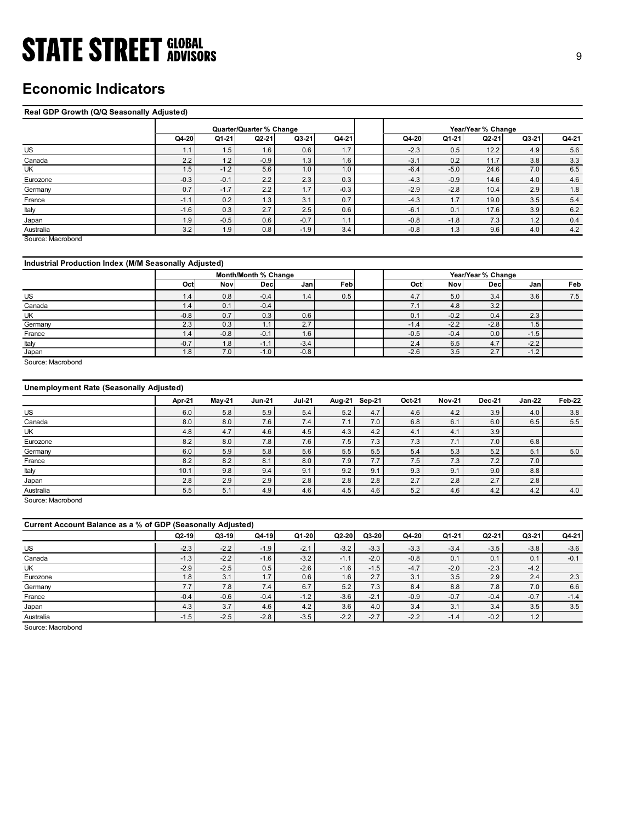## Economic Indicators

### Real GDP Growth (Q/Q Seasonally Adjusted)

| <b>STATE STREET GLOBAL</b>                            |                    |               |                          |                  |               |            |                  |               |                    |               | 9              |
|-------------------------------------------------------|--------------------|---------------|--------------------------|------------------|---------------|------------|------------------|---------------|--------------------|---------------|----------------|
|                                                       |                    |               |                          |                  |               |            |                  |               |                    |               |                |
|                                                       |                    |               |                          |                  |               |            |                  |               |                    |               |                |
| <b>Economic Indicators</b>                            |                    |               |                          |                  |               |            |                  |               |                    |               |                |
|                                                       |                    |               |                          |                  |               |            |                  |               |                    |               |                |
|                                                       |                    |               |                          |                  |               |            |                  |               |                    |               |                |
| Real GDP Growth (Q/Q Seasonally Adjusted)             |                    |               |                          |                  |               |            |                  |               |                    |               |                |
|                                                       |                    |               | Quarter/Quarter % Change |                  |               |            |                  |               | Year/Year % Change |               |                |
|                                                       | Q4-20              | Q1-21         | $Q2-21$                  | $Q3-21$          | Q4-21         |            | Q4-20            | Q1-21         | Q2-21              | $Q3-21$       | Q4-21          |
| <b>US</b>                                             | 1.1                | 1.5           | 1.6                      | 0.6              | 1.7           |            | $-2.3$           | 0.5           | 12.2               | 4.9           | 5.6            |
| Canada                                                | 2.2                | 1.2           | $-0.9$                   | 1.3              | 1.6           |            | $-3.1$           | 0.2           | 11.7               | 3.8           | 3.3            |
| UK                                                    | 1.5                | $-1.2$        | 5.6                      | 1.0              | 1.0           |            | $-6.4$           | $-5.0$        | 24.6               | 7.0           | 6.5            |
| Eurozone                                              | $-0.3$             | $-0.1$        | 2.2                      | 2.3              | 0.3           |            | $-4.3$           | $-0.9$        | 14.6               | 4.0           | 4.6            |
| Germany                                               | 0.7                | $-1.7$        | 2.2                      | 1.7              | $-0.3$        |            | $-2.9$           | $-2.8$        | 10.4               | 2.9           | $1.8\,$        |
| France                                                | $-1.1$             | 0.2           | 1.3                      | 3.1              | 0.7           |            | $-4.3$           | 1.7           | 19.0               | 3.5           | $5.4$          |
| Italy                                                 | $-1.6$             | 0.3           | 2.7                      | 2.5              | 0.6           |            | $-6.1$           | 0.1           | 17.6               | 3.9           | 6.2            |
| Japan                                                 | 1.9<br>3.2         | $-0.5$        | 0.6<br>0.8               | $-0.7$<br>$-1.9$ | 1.1<br>3.4    |            | $-0.8$<br>$-0.8$ | $-1.8$<br>1.3 | 7.3<br>9.6         | 1.2<br>4.0    | 0.4<br>$4.2\,$ |
| Australia<br>Source: Macrobond                        |                    | 1.9           |                          |                  |               |            |                  |               |                    |               |                |
|                                                       |                    |               |                          |                  |               |            |                  |               |                    |               |                |
|                                                       |                    |               |                          |                  |               |            |                  |               |                    |               |                |
| Industrial Production Index (M/M Seasonally Adjusted) |                    |               |                          |                  |               |            |                  |               |                    |               |                |
|                                                       |                    |               | Month/Month % Change     |                  |               |            |                  |               | Year/Year % Change |               |                |
|                                                       | Oct                | Nov           | <b>Dec</b>               | Jan              | Feb           |            | Oct              | Nov           | Dec                | Jan           | Feb            |
| <b>US</b><br>Canada                                   | 1.4<br>1.4         | 0.8<br>0.1    | $-0.4$<br>$-0.4$         | 1.4              | 0.5           |            | 4.7<br>7.1       | 5.0<br>4.8    | 3.4<br>3.2         | 3.6           | 7.5            |
| UK                                                    | $-0.8$             | 0.7           | 0.3                      | 0.6              |               |            | 0.1              | $-0.2$        | 0.4                | 2.3           |                |
| Germany                                               | 2.3                | 0.3           | 1.1                      | 2.7              |               |            | $-1.4$           | $-2.2$        | $-2.8$             | 1.5           |                |
| France                                                | 1.4                | $-0.8$        | $-0.1$                   | 1.6              |               |            | $-0.5$           | $-0.4$        | 0.0                | $-1.5$        |                |
| Italy                                                 | $-0.7$             | 1.8           | $-1.1$                   | $-3.4$           |               |            | $2.4\,$          | $6.5\,$       | $4.7\,$            | $-2.2$        |                |
| Japan                                                 | 1.8                | 7.0           | $-1.0$                   | $-0.8$           |               |            | $-2.6$           | 3.5           | 2.7                | $-1.2$        |                |
| Source: Macrobond                                     |                    |               |                          |                  |               |            |                  |               |                    |               |                |
|                                                       |                    |               |                          |                  |               |            |                  |               |                    |               |                |
| Unemployment Rate (Seasonally Adjusted)               |                    |               |                          |                  |               |            |                  |               |                    |               |                |
|                                                       |                    |               |                          |                  |               |            |                  |               |                    |               |                |
|                                                       | Apr-21             | <b>May-21</b> | <b>Jun-21</b>            | <b>Jul-21</b>    | Aug-21 Sep-21 |            | Oct-21           | <b>Nov-21</b> | Dec-21             | <b>Jan-22</b> | Feb-22         |
| US                                                    | $6.0\,$            | 5.8           | 5.9                      | $5.4$            | $5.2\,$       | 4.7        | $4.6\,$          | $4.2\,$       | 3.9                | 4.0           | 3.8            |
| Canada                                                | $8.0\,$<br>$4.8\,$ | 8.0<br>4.7    | 7.6<br>4.6               | 7.4<br>4.5       | 7.1<br>4.3    | 7.0<br>4.2 | 6.8<br>4.1       | 6.1<br>4.1    | 6.0<br>3.9         | 6.5           | $5.5$          |
|                                                       |                    | 8.0           | 7.8                      | $7.6$            | 7.5           | 7.3        | 7.3              | 7.1           | $7.0\,$            | 6.8           |                |
| UK                                                    |                    |               |                          |                  |               |            |                  |               |                    |               | 5.0            |
| Eurozone                                              | 8.2                |               |                          |                  |               |            |                  |               |                    |               |                |
| Germany<br>France                                     | 6.0<br>8.2         | 5.9<br>8.2    | $5.8\,$                  | $5.6\,$          | 5.5           | 5.5<br>7.7 | $5.4\,$          | 5.3           | $5.2\,$            | 5.1<br>7.0    |                |
| Italy                                                 | 10.1               | 9.8           | 8.1<br>$9.4\,$           | 8.0<br>9.1       | 7.9<br>9.2    | 9.1        | 7.5<br>9.3       | 7.3<br>9.1    | 7.2<br>$9.0\,$     | 8.8           |                |

## Industrial Production Index (M/M Seasonally Adjusted)

|         |        |        | Month/Month % Change |                  |      |        |        | Year/Year % Change      |        |     |
|---------|--------|--------|----------------------|------------------|------|--------|--------|-------------------------|--------|-----|
|         | Oct    | Nov    | Dec                  | Jan              | Febl | Oct    | Nov    | Decl                    | Jan    | Feb |
| US      | 1.4    | 0.8    | $-0.4$               | 1.4 <sub>1</sub> | 0.5  | 4.7    | 5.0    | 3.4                     | 3.6    | 7.5 |
| Canada  | 1.4    | 0.1    | $-0.4$               |                  |      | 7.1    | 4.8    | 3.2                     |        |     |
| UK      | $-0.8$ | 0.7    | 0.3                  | 0.6              |      | 0.1    | $-0.2$ | 0.4                     | 2.3    |     |
| Germany | 2.3    | 0.3    | 1.1                  | 2.7              |      | $-1.4$ | $-2.2$ | $-2.8$                  | 1.5    |     |
| France  | 1.4    | $-0.8$ | $-0.1$               | 1.6              |      | $-0.5$ | $-0.4$ | 0.0                     | $-1.5$ |     |
| Italy   | $-0.7$ | 1.8    | $-1.1$               | $-3.4$           |      | 2.4    | 6.5    | 4.7                     | $-2.2$ |     |
| Japan   | 1.8    | 7.0    | $-1.0$               | $-0.8$           |      | $-2.6$ | 3.5    | $\sim$ $\sim$<br>$\sim$ | $-1.2$ |     |

## Unemployment Rate (Seasonally Adjusted)

| US                                                          | 1.1    | 1.5           | 1.6                  | U.G           | 1.7     |            | $-2.3$ | 0.5           | 12.2               | 4.9     | 5.6     |
|-------------------------------------------------------------|--------|---------------|----------------------|---------------|---------|------------|--------|---------------|--------------------|---------|---------|
| Canada                                                      | 2.2    | 1.2           | $-0.9$               | 1.3           | 1.6     |            | $-3.1$ | 0.2           | 11.7               | 3.8     | 3.3     |
| UK                                                          | 1.5    | $-1.2$        | 5.6                  | 1.0           | 1.0     |            | $-6.4$ | $-5.0$        | 24.6               | 7.0     | 6.5     |
| Eurozone                                                    | $-0.3$ | $-0.1$        | 2.2                  | 2.3           | 0.3     |            | $-4.3$ | $-0.9$        | 14.6               | 4.0     | 4.6     |
| Germany                                                     | 0.7    | $-1.7$        | 2.2                  | 1.7           | $-0.3$  |            | $-2.9$ | $-2.8$        | 10.4               | 2.9     | 1.8     |
| France                                                      | $-1.1$ | 0.2           | 1.3                  | 3.1           | 0.7     |            | $-4.3$ | 1.7           | 19.0               | 3.5     | $5.4$   |
| Italy                                                       | $-1.6$ | 0.3           | 2.7                  | 2.5           | 0.6     |            | $-6.1$ | 0.1           | 17.6               | 3.9     | 6.2     |
| Japan                                                       | 1.9    | $-0.5$        | 0.6                  | $-0.7$        | 1.1     |            | $-0.8$ | $-1.8$        | 7.3                | 1.2     | 0.4     |
| Australia                                                   | 3.2    | 1.9           | 0.8                  | $-1.9$        | 3.4     |            | $-0.8$ | 1.3           | 9.6                | 4.0     | $4.2\,$ |
| Source: Macrobond                                           |        |               |                      |               |         |            |        |               |                    |         |         |
|                                                             |        |               |                      |               |         |            |        |               |                    |         |         |
|                                                             |        |               |                      |               |         |            |        |               |                    |         |         |
| Industrial Production Index (M/M Seasonally Adjusted)       |        |               |                      |               |         |            |        |               |                    |         |         |
|                                                             |        |               | Month/Month % Change |               |         |            |        |               | Year/Year % Change |         |         |
|                                                             | Oct    | Nov           | <b>Dec</b>           | Jan           | Feb     |            | Oct    | Nov           | Dec                | Jan     | Feb     |
| US                                                          | 1.4    | 0.8           | $-0.4$               | 1.4           | 0.5     |            | 4.7    | 5.0           | 3.4                | 3.6     | 7.5     |
| Canada                                                      | 1.4    | 0.1           | $-0.4$               |               |         |            | 7.1    | 4.8           | 3.2                |         |         |
| UK                                                          | $-0.8$ | 0.7           | 0.3                  | 0.6           |         |            | 0.1    | $-0.2$        | 0.4                | 2.3     |         |
| Germany                                                     | 2.3    | 0.3           | 1.1                  | 2.7           |         |            | $-1.4$ | $-2.2$        | $-2.8$             | 1.5     |         |
| France                                                      | 1.4    | $-0.8$        | $-0.1$               | 1.6           |         |            | $-0.5$ | $-0.4$        | 0.0                | $-1.5$  |         |
| Italy                                                       | $-0.7$ | 1.8           | $-1.1$               | $-3.4$        |         |            | 2.4    | 6.5           | 4.7                | $-2.2$  |         |
| Japan                                                       | 1.8    | 7.0           | $-1.0$               | $-0.8$        |         |            | $-2.6$ | 3.5           | 2.7                | $-1.2$  |         |
| Unemployment Rate (Seasonally Adjusted)                     | Apr-21 | <b>May-21</b> | <b>Jun-21</b>        | <b>Jul-21</b> | Aug-21  | Sep-21     | Oct-21 | <b>Nov-21</b> | <b>Dec-21</b>      | Jan-22  | Feb-22  |
|                                                             |        |               |                      |               |         |            |        |               |                    |         |         |
| US                                                          | 6.0    | 5.8           | 5.9                  | 5.4<br>7.4    | 5.2     | 4.7<br>7.0 | 4.6    | 4.2           | 3.9                | 4.0     | 3.8     |
| Canada                                                      | 8.0    | 8.0           | 7.6                  |               | 7.1     |            | 6.8    | 6.1           | 6.0                | 6.5     | $5.5\,$ |
| UK                                                          | 4.8    | 4.7           | 4.6                  | 4.5           | 4.3     | 4.2        | 4.1    | 4.1           | 3.9                |         |         |
| Eurozone                                                    | 8.2    | 8.0           | 7.8                  | 7.6           | 7.5     | 7.3        | 7.3    | 7.1           | 7.0                | 6.8     |         |
| Germany                                                     | 6.0    | 5.9           | 5.8                  | 5.6           | 5.5     | 5.5        | 5.4    | 5.3           | $5.2\,$            | 5.1     | 5.0     |
| France                                                      | 8.2    | 8.2           | 8.1                  | 8.0           | 7.9     | 7.7        | 7.5    | 7.3           | 7.2                | 7.0     |         |
| Italy                                                       | 10.1   | 9.8           | 9.4                  | 9.1           | 9.2     | 9.1        | 9.3    | 9.1           | 9.0                | 8.8     |         |
| Japan                                                       | 2.8    | 2.9           | 2.9                  | 2.8           | 2.8     | 2.8        | 2.7    | 2.8           | 2.7                | 2.8     |         |
| Australia                                                   | 5.5    | 5.1           | 4.9                  | 4.6           | 4.5     | 4.6        | 5.2    | 4.6           | 4.2                | 4.2     | 4.0     |
| Source: Macrobond                                           |        |               |                      |               |         |            |        |               |                    |         |         |
| Current Account Balance as a % of GDP (Seasonally Adjusted) |        |               |                      |               |         |            |        |               |                    |         |         |
|                                                             | Q2-19  | $Q3-19$       | $Q4-19$              | $Q1-20$       | $Q2-20$ | Q3-20      | Q4-20  | Q1-21         | Q2-21              | $Q3-21$ | $Q4-21$ |
| US                                                          | $-2.3$ | $-2.2$        | $-1.9$               | $-2.1$        | $-3.2$  | $-3.3$     | $-3.3$ | $-3.4$        | $-3.5$             | $-3.8$  | $-3.6$  |
| Canada                                                      | $-1.3$ | $-2.2$        | $-1.6$               | $-3.2$        | $-1.1$  | $-2.0$     | $-0.8$ | 0.1           | 0.1                | 0.1     | $-0.1$  |
| UK                                                          | $-2.9$ | $-2.5$        | 0.5                  | $-2.6$        | $-1.6$  | $-1.5$     | $-4.7$ | $-2.0$        | $-2.3$             | $-4.2$  |         |
| Eurozone                                                    | 1.8    | 3.1           | 1.7                  | 0.6           | 1.6     | 2.7        | 3.1    | 3.5           | 2.9                | 2.4     | 2.3     |
| Germany                                                     | 7.7    | 7.8           | 7.4                  | 6.7           | 5.2     | 7.3        | 8.4    | 8.8           | 7.8                | 7.0     | 6.6     |
| France                                                      | $-0.4$ | $-0.6$        | $-0.4$               | $-1.2$        | $-3.6$  | $-2.1$     | $-0.9$ | $-0.7$        | $-0.4$             | $-0.7$  | $-1.4$  |
|                                                             |        | 3.7           |                      | 4.2           |         |            |        |               |                    |         | $3.5\,$ |
| Japan                                                       | 4.3    |               | 4.6                  |               | 3.6     | $4.0$      | 3.4    | 3.1           | 3.4                | 3.5     |         |

|                                                                                                                                                             | 1.4           | 0.8           | $-0.4$        | 1.4           | 0.5           |               |               |               |               | 3.6           |            |
|-------------------------------------------------------------------------------------------------------------------------------------------------------------|---------------|---------------|---------------|---------------|---------------|---------------|---------------|---------------|---------------|---------------|------------|
| US                                                                                                                                                          |               |               |               |               |               |               | 4.7           | $5.0\,$       | 3.4           |               | 7.5        |
| Canada                                                                                                                                                      | 1.4           | 0.1           | $-0.4$        |               |               |               | 7.1           | 4.8           | 3.2           |               |            |
| UK                                                                                                                                                          | $-0.8$        | 0.7           | 0.3           | 0.6           |               |               | 0.1           | $-0.2$        | 0.4           | 2.3           |            |
| Germany                                                                                                                                                     | 2.3           | 0.3           | 1.1           | 2.7           |               |               | $-1.4$        | $-2.2$        | $-2.8$        | 1.5           |            |
| France                                                                                                                                                      | 1.4           | $-0.8$        | $-0.1$        | 1.6           |               |               | $-0.5$        | $-0.4$        | $0.0\,$       | $-1.5$        |            |
| Italy                                                                                                                                                       | $-0.7$        | 1.8           | $-1.1$        | $-3.4$        |               |               | 2.4           | 6.5           | 4.7           | $-2.2$        |            |
| Japan                                                                                                                                                       | 1.8           | 7.0           | $-1.0$        | $-0.8$        |               |               | $-2.6$        | 3.5           | 2.7           | $-1.2$        |            |
| Source: Macrobond                                                                                                                                           |               |               |               |               |               |               |               |               |               |               |            |
| <b>Unemployment Rate (Seasonally Adjusted)</b>                                                                                                              |               |               |               |               |               |               |               |               |               |               |            |
|                                                                                                                                                             | Apr-21        | $May-21$      | <b>Jun-21</b> | <b>Jul-21</b> |               | Aug-21 Sep-21 | Oct-21        | <b>Nov-21</b> | <b>Dec-21</b> | <b>Jan-22</b> | Feb-22     |
| US                                                                                                                                                          | 6.0           | 5.8           | 5.9           | 5.4           | 5.2           | 4.7           | 4.6           | 4.2           | 3.9           | 4.0           | 3.8        |
| Canada                                                                                                                                                      | 8.0           | 8.0           | $7.6$         | 7.4           | 7.1           | $7.0$         | 6.8           | 6.1           | 6.0           | 6.5           | 5.5        |
| UK                                                                                                                                                          | 4.8           | 4.7           | 4.6           | $4.5\,$       | 4.3           | $4.2\,$       | 4.1           | 4.1           | 3.9           |               |            |
| Eurozone                                                                                                                                                    | 8.2           | 8.0           | 7.8           | $7.6\,$       | $7.5\,$       | 7.3           | 7.3           | 7.1           | 7.0           | 6.8           |            |
| Germany                                                                                                                                                     | 6.0           | 5.9           | 5.8           | 5.6           | 5.5           | 5.5           | 5.4           | 5.3           | 5.2           | 5.1           | $5.0\,$    |
|                                                                                                                                                             | 8.2           | 8.2           | 8.1           | 8.0           | 7.9           | 7.7           | 7.5           | 7.3           | 7.2           | 7.0           |            |
|                                                                                                                                                             |               |               |               |               |               |               |               |               |               |               |            |
|                                                                                                                                                             |               |               |               |               |               |               |               |               |               |               |            |
|                                                                                                                                                             | 10.1          | 9.8           | 9.4           | 9.1           | 9.2           | 9.1           | 9.3           | 9.1           | 9.0           | 8.8           |            |
|                                                                                                                                                             | 2.8<br>5.5    | 2.9<br>5.1    | 2.9<br>4.9    | 2.8<br>4.6    | 2.8<br>4.5    | 2.8<br>4.6    | 2.7<br>5.2    | 2.8<br>4.6    | 2.7<br>4.2    | 2.8<br>4.2    | 4.0        |
|                                                                                                                                                             |               |               |               |               |               |               |               |               |               |               |            |
|                                                                                                                                                             |               |               |               |               |               |               |               |               |               |               |            |
|                                                                                                                                                             | $Q2-19$       | $Q3-19$       | $Q4-19$       | Q1-20         | Q2-20         | Q3-20         | Q4-20         | Q1-21         | $Q2 - 21$     | Q3-21         | Q4-21      |
|                                                                                                                                                             |               |               |               |               |               |               |               |               |               |               |            |
|                                                                                                                                                             | $-2.3$        | $-2.2$        | $-1.9$        | $-2.1$        | $-3.2$        | $-3.3$        | $-3.3$        | $-3.4$        | $-3.5$        | $-3.8$        | $-3.6$     |
|                                                                                                                                                             | $-1.3$        | $-2.2$        | $-1.6$        | $-3.2$        | $-1.1$        | $-2.0$        | $-0.8$        | 0.1           | 0.1           | 0.1           | $-0.1$     |
| France<br>Italy<br>Japan<br>Australia<br>Source: Macrobond<br>Current Account Balance as a % of GDP (Seasonally Adjusted)<br>US<br>Canada<br>UK<br>Eurozone | $-2.9$<br>1.8 | $-2.5$<br>3.1 | 0.5<br>1.7    | $-2.6$<br>0.6 | $-1.6$<br>1.6 | $-1.5$<br>2.7 | $-4.7$<br>3.1 | $-2.0$<br>3.5 | $-2.3$<br>2.9 | $-4.2$<br>2.4 |            |
|                                                                                                                                                             | 7.7           | 7.8           | 7.4           | 6.7           | 5.2           | 7.3           | 8.4           | $8.8\,$       | $7.8$         | 7.0           | 2.3<br>6.6 |
| Germany<br>France                                                                                                                                           | $-0.4$        | $-0.6$        | $-0.4$        | $-1.2$        | $-3.6$        | $-2.1$        | $-0.9$        | $-0.7$        | $-0.4$        | $-0.7$        | $-1.4$     |
|                                                                                                                                                             |               | 3.7           | 4.6           | 4.2           | 3.6           | 4.0           | 3.4           | 3.1           | 3.4           | 3.5           | 3.5        |
| Japan<br>Australia                                                                                                                                          | 4.3<br>$-1.5$ | $-2.5$        | $-2.8$        | $-3.5$        | $-2.2$        | $-2.7$        | $-2.2$        | $-1.4$        | $-0.2$        | 1.2           |            |